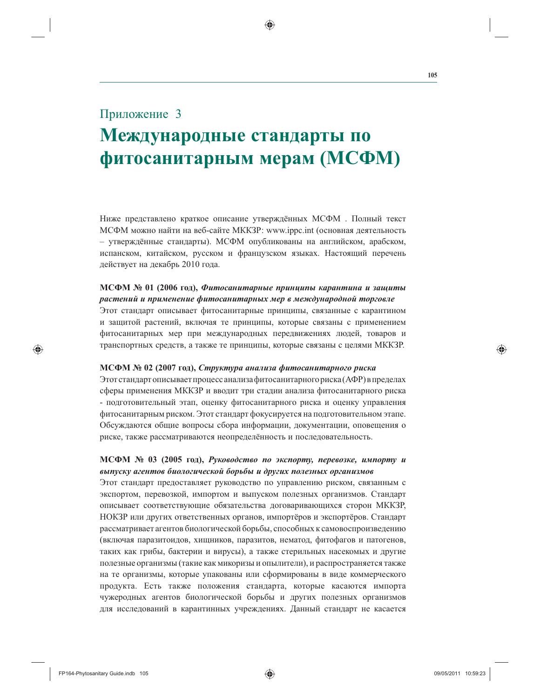# Приложение 3

# Международные стандарты по фитосанитарным мерам (МСФМ)

Ниже представлено краткое описание утверждённых МСФМ. Полный текст МСФМ можно найти на веб-сайте MKK3P: www.ippc.int (основная деятельность - утверждённые стандарты). МСФМ опубликованы на английском, арабском, испанском, китайском, русском и французском языках. Настоящий перечень действует на декабрь 2010 года.

## МСФМ № 01 (2006 год), Фитосанитарные принципы карантина и защиты растений и применение фитосанитарных мер в международной торговле

Этот стандарт описывает фитосанитарные принципы, связанные с карантином и защитой растений, включая те принципы, которые связаны с применением фитосанитарных мер при международных передвижениях людей, товаров и транспортных средств, а также те принципы, которые связаны с целями МККЗР.

#### МСФМ № 02 (2007 год), Структура анализа фитосанитарного риска

Этот стандарт описывает процесс анализа фитосанитарного риска (АФР) в пределах сферы применения МККЗР и вводит три стадии анализа фитосанитарного риска - подготовительный этап, оценку фитосанитарного риска и оценку управления фитосанитарным риском. Этот стандарт фокусируется на подготовительном этапе. Обсуждаются общие вопросы сбора информации, документации, оповещения о риске, также рассматриваются неопределённость и последовательность.

## МСФМ № 03 (2005 год), Руководство по экспорту, перевозке, импорту и выпуску агентов биологической борьбы и других полезных организмов

Этот стандарт предоставляет руководство по управлению риском, связанным с экспортом, перевозкой, импортом и выпуском полезных организмов. Стандарт описывает соответствующие обязательства договаривающихся сторон МККЗР, НОКЗР или других ответственных органов, импортёров и экспортёров. Стандарт рассматривает агентов биологической борьбы, способных к самовоспроизведению (включая паразитоидов, хищников, паразитов, нематод, фитофагов и патогенов, таких как грибы, бактерии и вирусы), а также стерильных насекомых и другие полезные организмы (такие как микоризы и опылители), и распространяется также на те организмы, которые упакованы или сформированы в виде коммерческого продукта. Есть также положения стандарта, которые касаются импорта чужеродных агентов биологической борьбы и других полезных организмов для исследований в карантинных учреждениях. Данный стандарт не касается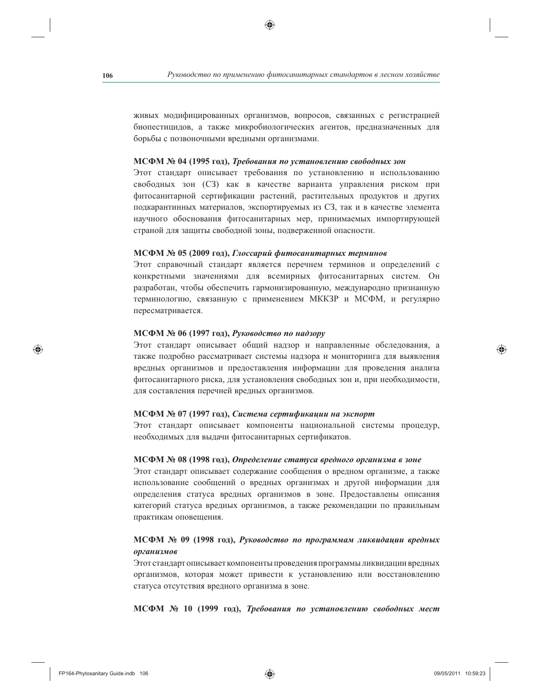живых модифицированных организмов, вопросов, связанных с регистрацией биопестицидов, а также микробиологических агентов, предназначенных для борьбы с позвоночными вредными организмами.

#### МСФМ № 04 (1995 год), Требования по установлению свободных зон

Этот стандарт описывает требования по установлению и использованию свободных зон (СЗ) как в качестве варианта управления риском при фитосанитарной сертификации растений, растительных продуктов и других подкарантинных материалов, экспортируемых из СЗ, так и в качестве элемента научного обоснования фитосанитарных мер, принимаемых импортирующей страной для защиты свободной зоны, подверженной опасности.

#### МСФМ № 05 (2009 год), Глоссарий фитосанитарных терминов

Этот справочный стандарт является перечнем терминов и определений с конкретными значениями для всемирных фитосанитарных систем. Он разработан, чтобы обеспечить гармонизированную, международно признанную терминологию, связанную с применением МККЗР и МСФМ, и регулярно пересматривается.

## МСФМ № 06 (1997 год), Руководство по надзору

Этот стандарт описывает общий надзор и направленные обследования, а также подробно рассматривает системы надзора и мониторинга для выявления вредных организмов и предоставления информации для проведения анализа фитосанитарного риска, для установления свободных зон и, при необходимости, для составления перечней вредных организмов.

#### МСФМ № 07 (1997 год), Система сертификации на экспорт

Этот стандарт описывает компоненты национальной системы процедур, необходимых для выдачи фитосанитарных сертификатов.

#### МСФМ № 08 (1998 год), Определение статуса вредного организма в зоне

Этот стандарт описывает содержание сообщения о вредном организме, а также использование сообщений о вредных организмах и другой информации для определения статуса вредных организмов в зоне. Предоставлены описания категорий статуса вредных организмов, а также рекомендации по правильным практикам оповещения.

## МСФМ № 09 (1998 год), Руководство по программам ликвидации вредных организмов

Этот стандарт описывает компоненты проведения программы ликвидации вредных организмов, которая может привести к установлению или восстановлению статуса отсутствия вредного организма в зоне.

МСФМ № 10 (1999 год), Требования по установлению свободных мест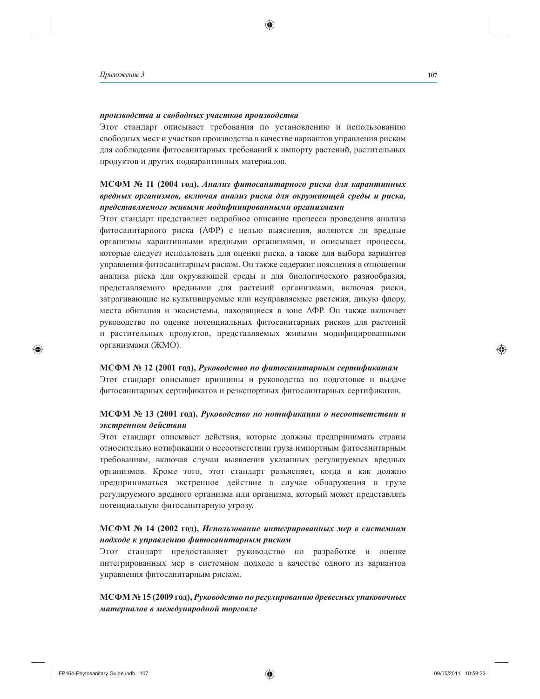#### производства и свободных участков производства

Этот стандарт описывает требования по установлению и использованию свободных мест и участков производства в качестве вариантов управления риском для соблюдения фитосанитарных требований к импорту растений, растительных продуктов и других подкарантинных материалов.

# МСФМ № 11 (2004 год), Анализ фитосанитарного риска для карантинных вредных организмов, включая анализ риска для окружающей среды и риска, представляемого живыми модифицированными организмами

Этот стандарт представляет подробное описание процесса проведения анализа фитосанитарного риска (АФР) с целью выяснения, являются ли вредные организмы карантинными вредными организмами, и описывает процессы, которые следует использовать для оценки риска, а также для выбора вариантов управления фитосанитарным риском. Он также содержит пояснения в отношении анализа риска для окружающей среды и для биологического разнообразия, представляемого вредными для растений организмами, включая риски, затрагивающие не культивируемые или неуправляемые растения, дикую флору, места обитания и экосистемы, находящиеся в зоне АФР. Он также включает руководство по оценке потенциальных фитосанитарных рисков для растений и растительных продуктов, представляемых живыми модифицированными организмами (ЖМО).

#### МСФМ № 12 (2001 год), Руководство по фитосанитарным сертификатам

Этот стандарт описывает принципы и руководства по подготовке и выдаче фитосанитарных сертификатов и реэкспортных фитосанитарных сертификатов.

## МСФМ № 13 (2001 год), Руководство по нотификации о несоответствии и экстренном действии

Этот стандарт описывает действия, которые должны предпринимать страны относительно нотификации о несоответствии груза импортным фитосанитарным требованиям, включая случаи выявления указанных регулируемых вредных организмов. Кроме того, этот стандарт разъясняет, когда и как должно предприниматься экстренное действие в случае обнаружения в грузе регулируемого вредного организма или организма, который может представлять потенциальную фитосанитарную угрозу.

#### МСФМ № 14 (2002 год), Использование интегрированных мер в системном подходе к управлению фитосанитарным риском

Этот стандарт предоставляет руководство по разработке и оценке интегрированных мер в системном подходе в качестве одного из вариантов управления фитосанитарным риском.

## МСФМ № 15 (2009 год), Руководство по регулированию древесных упаковочных материалов в международной торговле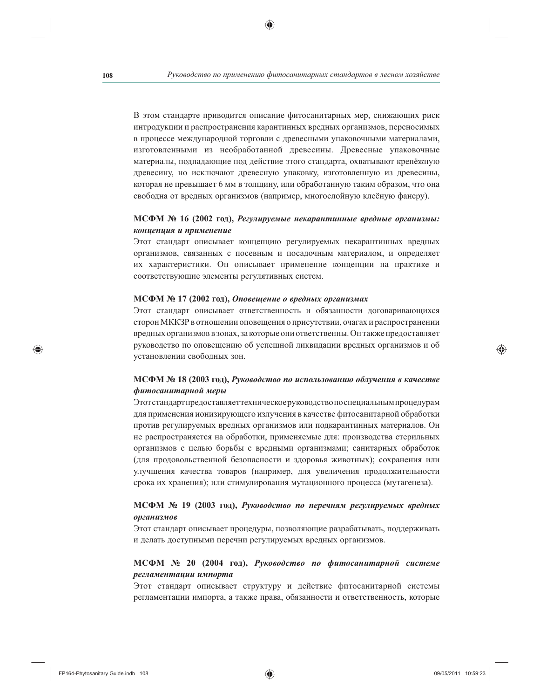В этом стандарте приводится описание фитосанитарных мер, снижающих риск интродукции и распространения карантинных вредных организмов, переносимых в процессе международной торговли с древесными упаковочными материалами, изготовленными из необработанной древесины. Древесные упаковочные материалы, подпадающие под действие этого стандарта, охватывают крепёжную древесину, но исключают древесную упаковку, изготовленную из древесины, которая не превышает 6 мм в толщину, или обработанную таким образом, что она свободна от вредных организмов (например, многослойную клеёную фанеру).

#### МСФМ № 16 (2002 год), Регулируемые некарантинные вредные организмы: концепция и применение

Этот стандарт описывает концепцию регулируемых некарантинных вредных организмов, связанных с посевным и посадочным материалом, и определяет их характеристики. Он описывает применение концепции на практике и соответствующие элементы регулятивных систем.

#### МСФМ № 17 (2002 год), Оповещение о вредных организмах

Этот стандарт описывает ответственность и обязанности договаривающихся сторон МККЗР в отношении оповещения о присутствии, очагах и распространении вредных организмов в зонах, за которые они ответственны. Он также предоставляет руководство по оповещению об успешной ликвидации вредных организмов и об установлении свободных зон.

#### МСФМ № 18 (2003 год), Руководство по использованию облучения в качестве фитосанитарной меры

Этотстандарт предоставляет техническое руководство по специальным процедурам для применения ионизирующего излучения в качестве фитосанитарной обработки против регулируемых вредных организмов или подкарантинных материалов. Он не распространяется на обработки, применяемые для: производства стерильных организмов с целью борьбы с вредными организмами; санитарных обработок (для продовольственной безопасности и здоровья животных); сохранения или улучшения качества товаров (например, для увеличения продолжительности срока их хранения); или стимулирования мутационного процесса (мутагенеза).

## МСФМ № 19 (2003 год), Руководство по перечням регулируемых вредных организмов

Этот стандарт описывает процедуры, позволяющие разрабатывать, поддерживать и делать доступными перечни регулируемых вредных организмов.

## МСФМ № 20 (2004 год), Руководство по фитосанитарной системе регламентации импорта

Этот стандарт описывает структуру и действие фитосанитарной системы регламентации импорта, а также права, обязанности и ответственность, которые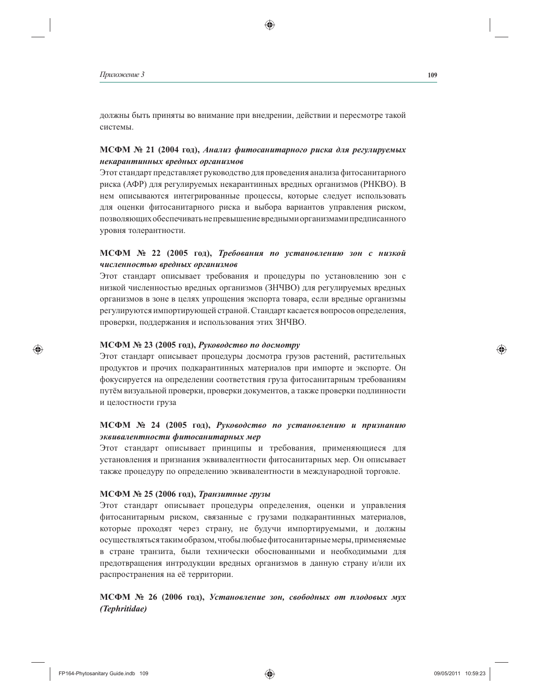должны быть приняты во внимание при внедрении, действии и пересмотре такой системы.

## МСФМ № 21 (2004 год), Анализ фитосанитарного риска для регулируемых некарантинных вредных организмов

Этот стандарт представляет руководство для проведения анализа фитосанитарного риска (АФР) для регулируемых некарантинных вредных организмов (РНКВО). В нем описываются интегрированные процессы, которые следует использовать для оценки фитосанитарного риска и выбора вариантов управления риском, позволяющих обеспечивать не превышение вредными организмами предписанного уровня толерантности.

## МСФМ № 22 (2005 год), Требования по установлению зон с низкой численностью вредных организмов

Этот стандарт описывает требования и процедуры по установлению зон с низкой численностью вредных организмов (ЗНЧВО) для регулируемых вредных организмов в зоне в целях упрощения экспорта товара, если вредные организмы регулируются импортирующей страной. Стандарт касается вопросов определения, проверки, поддержания и использования этих ЗНЧВО.

#### МСФМ № 23 (2005 год), Руководство по досмотру

Этот стандарт описывает процедуры досмотра грузов растений, растительных продуктов и прочих подкарантинных материалов при импорте и экспорте. Он фокусируется на определении соответствия груза фитосанитарным требованиям путём визуальной проверки, проверки документов, а также проверки подлинности и целостности груза

## МСФМ № 24 (2005 год), Руководство по установлению и признанию эквивалентности фитосанитарных мер

Этот стандарт описывает принципы и требования, применяющиеся для установления и признания эквивалентности фитосанитарных мер. Он описывает также процедуру по определению эквивалентности в международной торговле.

#### МСФМ № 25 (2006 год), Транзитные грузы

Этот стандарт описывает процедуры определения, оценки и управления фитосанитарным риском, связанные с грузами подкарантинных материалов, которые проходят через страну, не будучи импортируемыми, и должны осуществляться таким образом, чтобы любые фитосанитарные меры, применяемые в стране транзита, были технически обоснованными и необходимыми для предотвращения интродукции вредных организмов в данную страну и/или их распространения на её территории.

МСФМ № 26 (2006 год), Установление зон, свободных от плодовых мух (Tephritidae)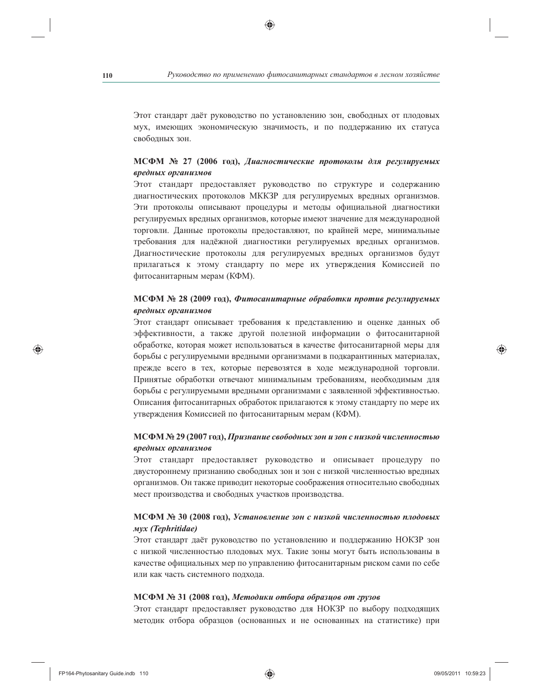Этот стандарт даёт руководство по установлению зон, свободных от плодовых мух, имеющих экономическую значимость, и по поддержанию их статуса свободных зон.

## МСФМ № 27 (2006 год), Диагностические протоколы для регулируемых вредных организмов

Этот стандарт предоставляет руководство по структуре и содержанию диагностических протоколов МККЗР для регулируемых вредных организмов. Эти протоколы описывают процедуры и методы официальной диагностики регулируемых вредных организмов, которые имеют значение для международной торговли. Данные протоколы предоставляют, по крайней мере, минимальные требования для надёжной диагностики регулируемых вредных организмов. Диагностические протоколы для регулируемых вредных организмов будут прилагаться к этому стандарту по мере их утверждения Комиссией по фитосанитарным мерам (КФМ).

## МСФМ № 28 (2009 год), Фитосанитарные обработки против регулируемых вредных организмов

Этот стандарт описывает требования к представлению и оценке данных об эффективности, а также другой полезной информации о фитосанитарной обработке, которая может использоваться в качестве фитосанитарной меры для борьбы с регулируемыми вредными организмами в подкарантинных материалах, прежде всего в тех, которые перевозятся в ходе международной торговли. Принятые обработки отвечают минимальным требованиям, необходимым для борьбы с регулируемыми вредными организмами с заявленной эффективностью. Описания фитосанитарных обработок прилагаются к этому стандарту по мере их утверждения Комиссией по фитосанитарным мерам (КФМ).

## МСФМ № 29 (2007 год), Признание свободных зон и зон с низкой численностью вредных организмов

Этот стандарт предоставляет руководство и описывает процедуру по двустороннему признанию свободных зон и зон с низкой численностью вредных организмов. Он также приводит некоторые соображения относительно свободных мест производства и свободных участков производства.

#### МСФМ № 30 (2008 год), Установление зон с низкой численностью плодовых Myx (Tephritidae)

Этот стандарт даёт руководство по установлению и поддержанию НОКЗР зон с низкой численностью плодовых мух. Такие зоны могут быть использованы в качестве официальных мер по управлению фитосанитарным риском сами по себе или как часть системного подхода.

#### МСФМ № 31 (2008 год), Методики отбора образцов от грузов

Этот стандарт предоставляет руководство для НОКЗР по выбору подходящих методик отбора образцов (основанных и не основанных на статистике) при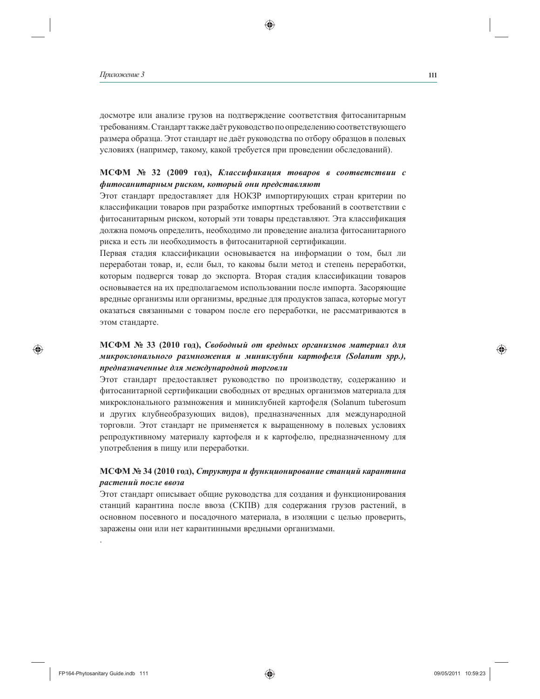досмотре или анализе грузов на подтверждение соответствия фитосанитарным требованиям. Стандарт также даёт руководство по определению соответствующего размера образца. Этот стандарт не даёт руководства по отбору образцов в полевых условиях (например, такому, какой требуется при проведении обследований).

## МСФМ № 32 (2009 год), Классификация товаров в соответствии с фитосанитарным риском, который они представляют

Этот стандарт предоставляет для НОКЗР импортирующих стран критерии по классификации товаров при разработке импортных требований в соответствии с фитосанитарным риском, который эти товары представляют. Эта классификация должна помочь определить, необходимо ли проведение анализа фитосанитарного риска и есть ли необходимость в фитосанитарной сертификации.

Первая стадия классификации основывается на информации о том, был ли переработан товар, и, если был, то каковы были метод и степень переработки, которым подвергся товар до экспорта. Вторая стадия классификации товаров основывается на их предполагаемом использовании после импорта. Засоряющие вредные организмы или организмы, вредные для продуктов запаса, которые могут оказаться связанными с товаром после его переработки, не рассматриваются в этом стандарте.

# МСФМ № 33 (2010 год), Свободный от вредных организмов материал для микроклонального размножения и миниклубни картофеля (Solanum spp.), предназначенные для международной торговли

Этот стандарт предоставляет руководство по производству, содержанию и фитосанитарной сертификации свободных от вредных организмов материала для микроклонального размножения и миниклубней картофеля (Solanum tuberosum и других клубнеобразующих видов), предназначенных для международной торговли. Этот стандарт не применяется к выращенному в полевых условиях репродуктивному материалу картофеля и к картофелю, предназначенному для употребления в пищу или переработки.

## МСФМ № 34 (2010 год), Структура и функционирование станций карантина растений после ввоза

Этот стандарт описывает общие руководства для создания и функционирования станций карантина после ввоза (СКПВ) для содержания грузов растений, в основном посевного и посадочного материала, в изоляции с целью проверить, заражены они или нет карантинными вредными организмами.